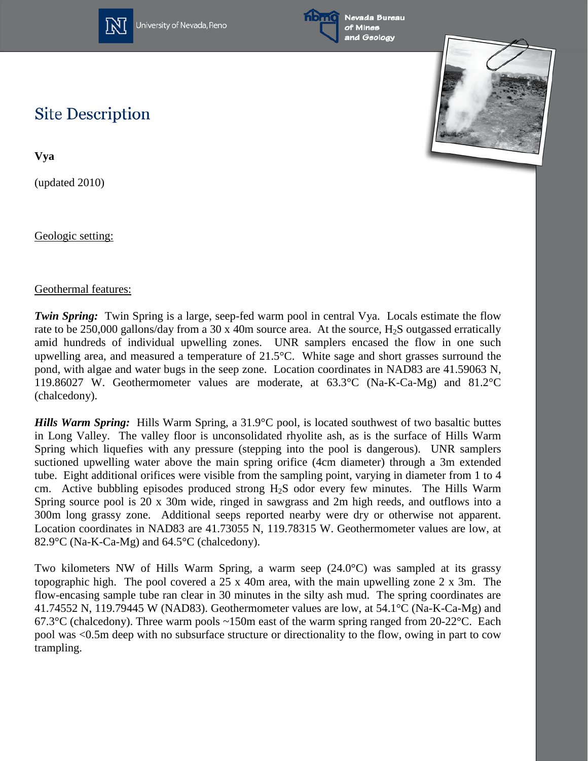



Nevada Bureau of Mines and Geology



## **Site Description**

**Vya**

(updated 2010)

Geologic setting:

## Geothermal features:

*Twin Spring:* Twin Spring is a large, seep-fed warm pool in central Vya. Locals estimate the flow rate to be 250,000 gallons/day from a 30 x 40m source area. At the source, H<sub>2</sub>S outgassed erratically amid hundreds of individual upwelling zones. UNR samplers encased the flow in one such upwelling area, and measured a temperature of 21.5°C. White sage and short grasses surround the pond, with algae and water bugs in the seep zone. Location coordinates in NAD83 are 41.59063 N, 119.86027 W. Geothermometer values are moderate, at 63.3°C (Na-K-Ca-Mg) and 81.2°C (chalcedony).

*Hills Warm Spring:* Hills Warm Spring, a 31.9°C pool, is located southwest of two basaltic buttes in Long Valley. The valley floor is unconsolidated rhyolite ash, as is the surface of Hills Warm Spring which liquefies with any pressure (stepping into the pool is dangerous). UNR samplers suctioned upwelling water above the main spring orifice (4cm diameter) through a 3m extended tube. Eight additional orifices were visible from the sampling point, varying in diameter from 1 to 4 cm. Active bubbling episodes produced strong  $H_2S$  odor every few minutes. The Hills Warm Spring source pool is 20 x 30m wide, ringed in sawgrass and 2m high reeds, and outflows into a 300m long grassy zone. Additional seeps reported nearby were dry or otherwise not apparent. Location coordinates in NAD83 are 41.73055 N, 119.78315 W. Geothermometer values are low, at 82.9°C (Na-K-Ca-Mg) and 64.5°C (chalcedony).

Two kilometers NW of Hills Warm Spring, a warm seep (24.0°C) was sampled at its grassy topographic high. The pool covered a  $25 \times 40$ m area, with the main upwelling zone 2 x 3m. The flow-encasing sample tube ran clear in 30 minutes in the silty ash mud. The spring coordinates are 41.74552 N, 119.79445 W (NAD83). Geothermometer values are low, at 54.1°C (Na-K-Ca-Mg) and 67.3°C (chalcedony). Three warm pools  $\sim$ 150m east of the warm spring ranged from 20-22°C. Each pool was <0.5m deep with no subsurface structure or directionality to the flow, owing in part to cow trampling.